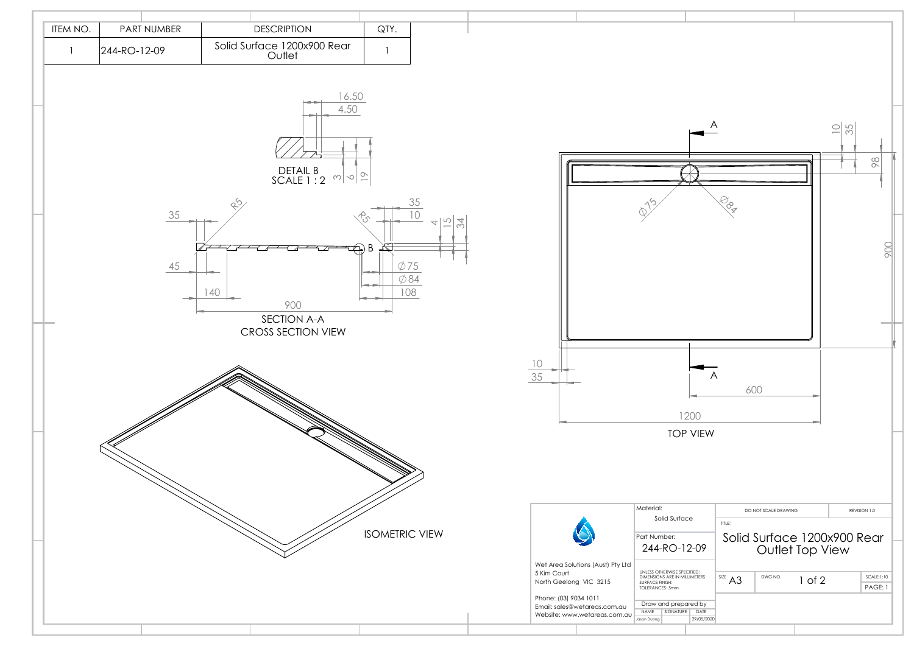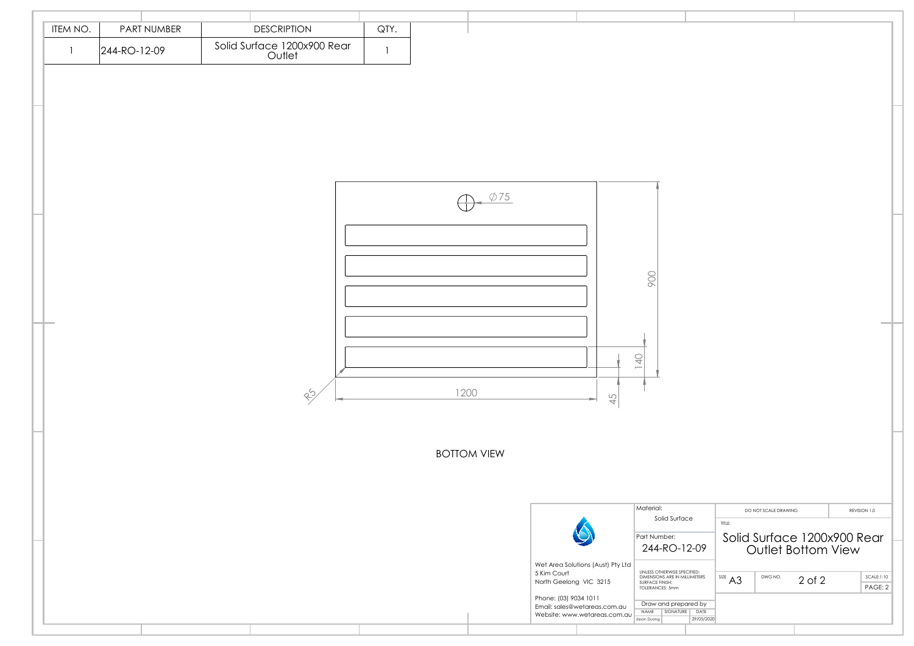

|                        | DO NOT SCALE DRAWING                                     |            |  | REVISION 1.0 |                   |  |
|------------------------|----------------------------------------------------------|------------|--|--------------|-------------------|--|
| Э                      | TITLE:                                                   |            |  |              |                   |  |
|                        | Solid Surface 1200x900 Rear<br><b>Outlet Bottom View</b> |            |  |              |                   |  |
| 2-09                   |                                                          |            |  |              |                   |  |
|                        |                                                          |            |  |              |                   |  |
| FIED:<br><b>METERS</b> |                                                          | DWG NO.    |  |              | <b>SCALE:1:10</b> |  |
|                        | $SIZE$ $A3$                                              | $2$ of $2$ |  | PAGE: 2      |                   |  |
|                        |                                                          |            |  |              |                   |  |
| ed by                  |                                                          |            |  |              |                   |  |
| DATE                   |                                                          |            |  |              |                   |  |
| 29/05/2020             |                                                          |            |  |              |                   |  |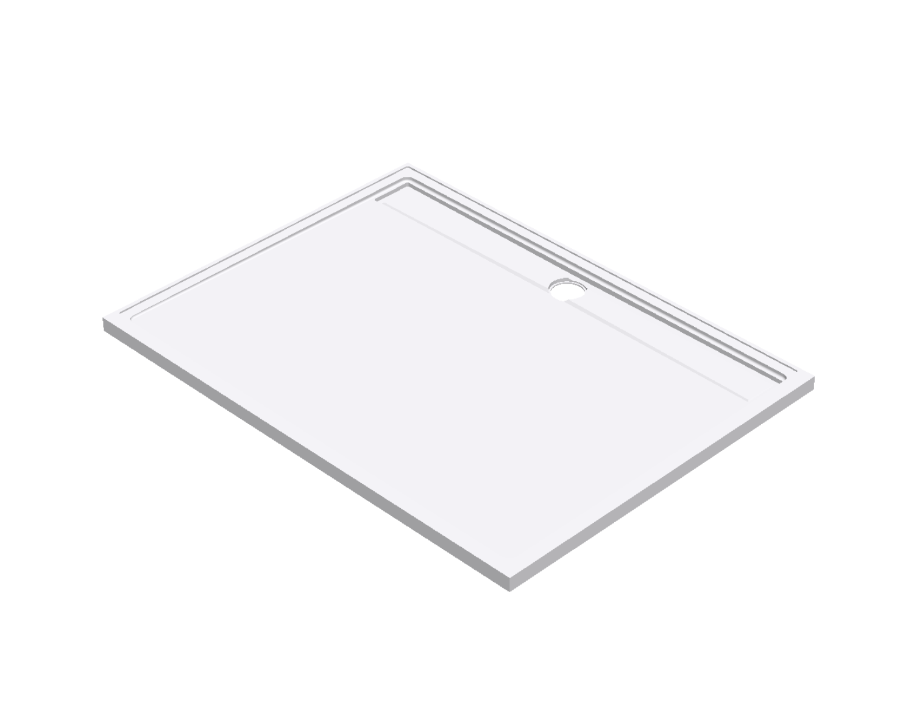